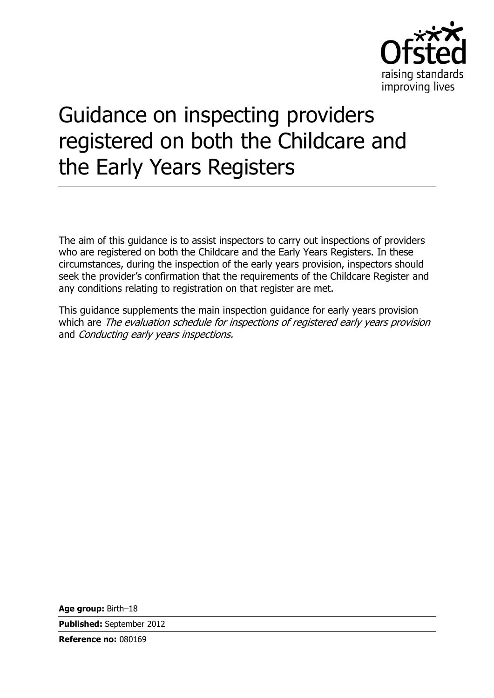

# Guidance on inspecting providers registered on both the Childcare and the Early Years Registers

The aim of this guidance is to assist inspectors to carry out inspections of providers who are registered on both the Childcare and the Early Years Registers. In these circumstances, during the inspection of the early years provision, inspectors should seek the provider's confirmation that the requirements of the Childcare Register and any conditions relating to registration on that register are met.

This guidance supplements the main inspection guidance for early years provision which are *The evaluation schedule for inspections of registered early years provision* and Conducting early years inspections.

**Age group:** Birth–18

**Published:** September 2012

**Reference no:** 080169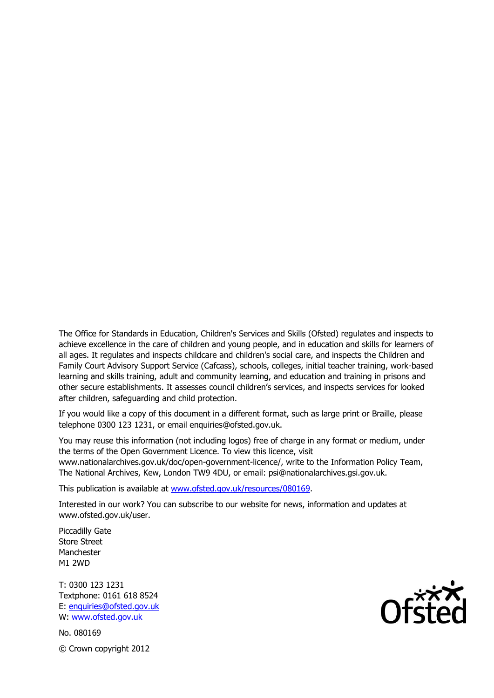The Office for Standards in Education, Children's Services and Skills (Ofsted) regulates and inspects to achieve excellence in the care of children and young people, and in education and skills for learners of all ages. It regulates and inspects childcare and children's social care, and inspects the Children and Family Court Advisory Support Service (Cafcass), schools, colleges, initial teacher training, work-based learning and skills training, adult and community learning, and education and training in prisons and other secure establishments. It assesses council children's services, and inspects services for looked after children, safeguarding and child protection.

If you would like a copy of this document in a different format, such as large print or Braille, please telephone 0300 123 1231, or email enquiries@ofsted.gov.uk.

You may reuse this information (not including logos) free of charge in any format or medium, under the terms of the Open Government Licence. To view this licence, visit www.nationalarchives.gov.uk/doc/open-government-licence/, write to the Information Policy Team, The National Archives, Kew, London TW9 4DU, or email: psi@nationalarchives.gsi.gov.uk.

This publication is available at www.ofsted.gov.uk/resources/080169.

Interested in our work? You can subscribe to our website for news, information and updates at www.ofsted.gov.uk/user.

Piccadilly Gate Store Street Manchester M1 2WD

T: 0300 123 1231 Textphone: 0161 618 8524 E: enquiries@ofsted.gov.uk W: www.ofsted.gov.uk

No. 080169 © Crown copyright 2012

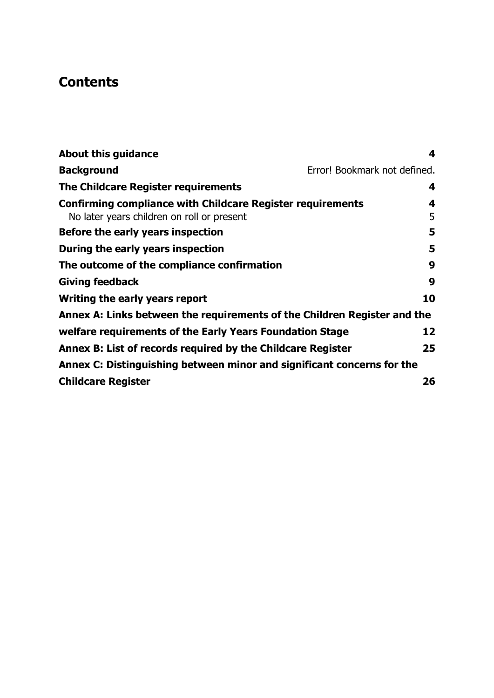# **Contents**

| <b>About this guidance</b>                                                                                      | 4                            |
|-----------------------------------------------------------------------------------------------------------------|------------------------------|
| <b>Background</b>                                                                                               | Error! Bookmark not defined. |
| The Childcare Register requirements                                                                             | 4                            |
| <b>Confirming compliance with Childcare Register requirements</b><br>No later years children on roll or present | 4<br>5                       |
| Before the early years inspection                                                                               | 5                            |
| During the early years inspection                                                                               | 5                            |
| The outcome of the compliance confirmation                                                                      | 9                            |
| <b>Giving feedback</b>                                                                                          | 9                            |
| Writing the early years report                                                                                  | 10                           |
| Annex A: Links between the requirements of the Children Register and the                                        |                              |
| welfare requirements of the Early Years Foundation Stage                                                        | 12                           |
| Annex B: List of records required by the Childcare Register                                                     | 25                           |
| Annex C: Distinguishing between minor and significant concerns for the                                          |                              |
| <b>Childcare Register</b>                                                                                       | 26                           |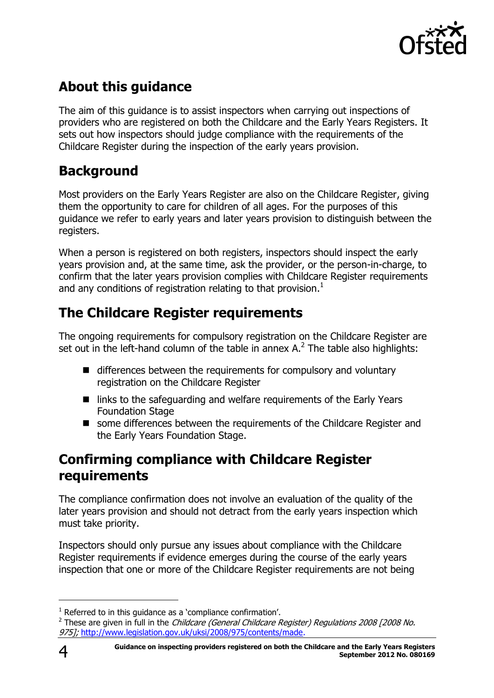

# <span id="page-3-0"></span>**About this guidance**

The aim of this guidance is to assist inspectors when carrying out inspections of providers who are registered on both the Childcare and the Early Years Registers. It sets out how inspectors should judge compliance with the requirements of the Childcare Register during the inspection of the early years provision.

# **Background**

Most providers on the Early Years Register are also on the Childcare Register, giving them the opportunity to care for children of all ages. For the purposes of this guidance we refer to early years and later years provision to distinguish between the registers.

When a person is registered on both registers, inspectors should inspect the early years provision and, at the same time, ask the provider, or the person-in-charge, to confirm that the later years provision complies with Childcare Register requirements and any conditions of registration relating to that provision.<sup>1</sup>

# <span id="page-3-1"></span>**The Childcare Register requirements**

The ongoing requirements for compulsory registration on the Childcare Register are set out in the left-hand column of the table in annex A. $2$  The table also highlights:

- differences between the requirements for compulsory and voluntary registration on the Childcare Register
- links to the safeguarding and welfare requirements of the Early Years Foundation Stage
- some differences between the requirements of the Childcare Register and the Early Years Foundation Stage.

### <span id="page-3-2"></span>**Confirming compliance with Childcare Register requirements**

The compliance confirmation does not involve an evaluation of the quality of the later years provision and should not detract from the early years inspection which must take priority.

Inspectors should only pursue any issues about compliance with the Childcare Register requirements if evidence emerges during the course of the early years inspection that one or more of the Childcare Register requirements are not being

j

 $1$  Referred to in this quidance as a 'compliance confirmation'.

<sup>&</sup>lt;sup>2</sup> These are given in full in the *Childcare (General Childcare Register) Regulations 2008 [2008 No.* 975]; [http://www.legislation.gov.uk/uksi/2008/975/contents/made.](http://www.legislation.gov.uk/uksi/2008/975/contents/made)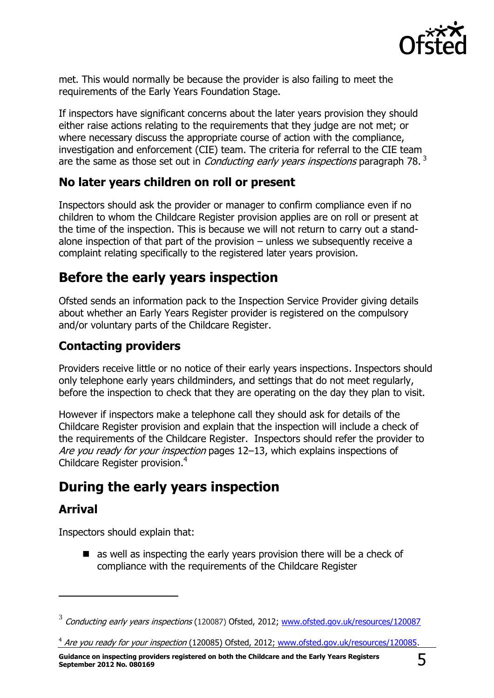

met. This would normally be because the provider is also failing to meet the requirements of the Early Years Foundation Stage.

If inspectors have significant concerns about the later years provision they should either raise actions relating to the requirements that they judge are not met; or where necessary discuss the appropriate course of action with the compliance, investigation and enforcement (CIE) team. The criteria for referral to the CIE team are the same as those set out in *Conducting early years inspections* paragraph 78. $^3$ 

### <span id="page-4-0"></span>**No later years children on roll or present**

Inspectors should ask the provider or manager to confirm compliance even if no children to whom the Childcare Register provision applies are on roll or present at the time of the inspection. This is because we will not return to carry out a standalone inspection of that part of the provision  $-$  unless we subsequently receive a complaint relating specifically to the registered later years provision.

### <span id="page-4-1"></span>**Before the early years inspection**

Ofsted sends an information pack to the Inspection Service Provider giving details about whether an Early Years Register provider is registered on the compulsory and/or voluntary parts of the Childcare Register.

### **Contacting providers**

Providers receive little or no notice of their early years inspections. Inspectors should only telephone early years childminders, and settings that do not meet regularly, before the inspection to check that they are operating on the day they plan to visit.

However if inspectors make a telephone call they should ask for details of the Childcare Register provision and explain that the inspection will include a check of the requirements of the Childcare Register. Inspectors should refer the provider to Are you ready for your inspection pages 12–13, which explains inspections of Childcare Register provision.<sup>4</sup>

### <span id="page-4-2"></span>**During the early years inspection**

### **Arrival**

 $\overline{a}$ 

Inspectors should explain that:

 $\blacksquare$  as well as inspecting the early years provision there will be a check of compliance with the requirements of the Childcare Register

<sup>&</sup>lt;sup>3</sup> Conducting early years inspections (120087) Ofsted, 2012; [www.ofsted.gov.uk/resources/120087](http://www.ofsted.gov.uk/resources/conducting-early-years-inspections)

<sup>&</sup>lt;sup>4</sup> Are you ready for your inspection (120085) Ofsted, 2012; [www.ofsted.gov.uk/resources/120085.](http://www.ofsted.gov.uk/resources/are-you-ready-for-your-inspection-guide-inspections-of-provision-ofsteds-childcare-and-early-years-r)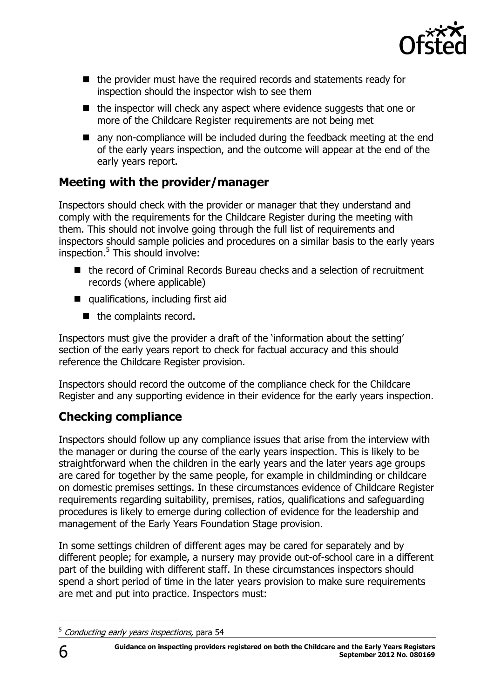

- $\blacksquare$  the provider must have the required records and statements ready for inspection should the inspector wish to see them
- $\blacksquare$  the inspector will check any aspect where evidence suggests that one or more of the Childcare Register requirements are not being met
- **n** any non-compliance will be included during the feedback meeting at the end of the early years inspection, and the outcome will appear at the end of the early years report.

### **Meeting with the provider/manager**

Inspectors should check with the provider or manager that they understand and comply with the requirements for the Childcare Register during the meeting with them. This should not involve going through the full list of requirements and inspectors should sample policies and procedures on a similar basis to the early years inspection. 5 This should involve:

- the record of Criminal Records Bureau checks and a selection of recruitment records (where applicable)
- qualifications, including first aid
	- $\blacksquare$  the complaints record.

Inspectors must give the provider a draft of the 'information about the setting' section of the early years report to check for factual accuracy and this should reference the Childcare Register provision.

Inspectors should record the outcome of the compliance check for the Childcare Register and any supporting evidence in their evidence for the early years inspection.

### **Checking compliance**

Inspectors should follow up any compliance issues that arise from the interview with the manager or during the course of the early years inspection. This is likely to be straightforward when the children in the early years and the later years age groups are cared for together by the same people, for example in childminding or childcare on domestic premises settings. In these circumstances evidence of Childcare Register requirements regarding suitability, premises, ratios, qualifications and safeguarding procedures is likely to emerge during collection of evidence for the leadership and management of the Early Years Foundation Stage provision.

In some settings children of different ages may be cared for separately and by different people; for example, a nursery may provide out-of-school care in a different part of the building with different staff. In these circumstances inspectors should spend a short period of time in the later years provision to make sure requirements are met and put into practice. Inspectors must:

<sup>&</sup>lt;sup>5</sup> Conducting early years inspections, para 54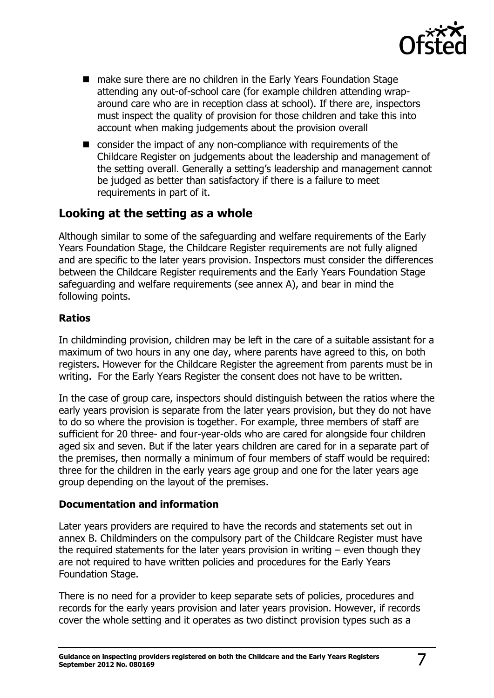

- make sure there are no children in the Early Years Foundation Stage attending any out-of-school care (for example children attending wraparound care who are in reception class at school). If there are, inspectors must inspect the quality of provision for those children and take this into account when making judgements about the provision overall
- consider the impact of any non-compliance with requirements of the Childcare Register on judgements about the leadership and management of the setting overall. Generally a setting's leadership and management cannot be judged as better than satisfactory if there is a failure to meet requirements in part of it.

### **Looking at the setting as a whole**

Although similar to some of the safeguarding and welfare requirements of the Early Years Foundation Stage, the Childcare Register requirements are not fully aligned and are specific to the later years provision. Inspectors must consider the differences between the Childcare Register requirements and the Early Years Foundation Stage safeguarding and welfare requirements (see annex A), and bear in mind the following points.

#### **Ratios**

In childminding provision, children may be left in the care of a suitable assistant for a maximum of two hours in any one day, where parents have agreed to this, on both registers. However for the Childcare Register the agreement from parents must be in writing. For the Early Years Register the consent does not have to be written.

In the case of group care, inspectors should distinguish between the ratios where the early years provision is separate from the later years provision, but they do not have to do so where the provision is together. For example, three members of staff are sufficient for 20 three- and four-year-olds who are cared for alongside four children aged six and seven. But if the later years children are cared for in a separate part of the premises, then normally a minimum of four members of staff would be required: three for the children in the early years age group and one for the later years age group depending on the layout of the premises.

#### **Documentation and information**

Later years providers are required to have the records and statements set out in annex B. Childminders on the compulsory part of the Childcare Register must have the required statements for the later years provision in writing – even though they are not required to have written policies and procedures for the Early Years Foundation Stage.

There is no need for a provider to keep separate sets of policies, procedures and records for the early years provision and later years provision. However, if records cover the whole setting and it operates as two distinct provision types such as a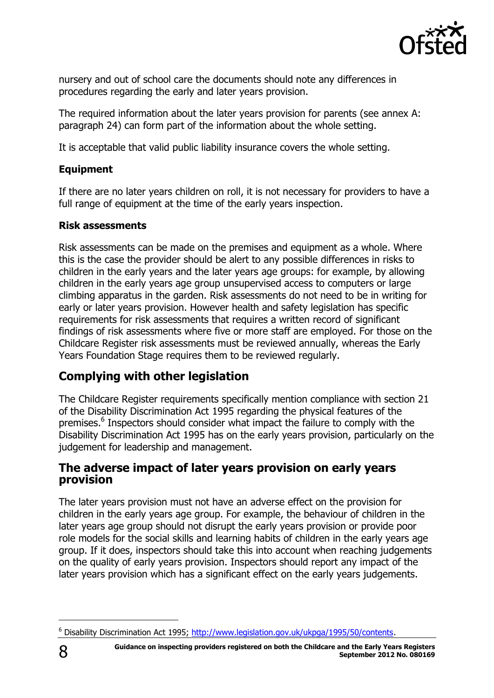

nursery and out of school care the documents should note any differences in procedures regarding the early and later years provision.

The required information about the later years provision for parents (see annex A: paragraph 24) can form part of the information about the whole setting.

It is acceptable that valid public liability insurance covers the whole setting.

#### **Equipment**

If there are no later years children on roll, it is not necessary for providers to have a full range of equipment at the time of the early years inspection.

#### **Risk assessments**

Risk assessments can be made on the premises and equipment as a whole. Where this is the case the provider should be alert to any possible differences in risks to children in the early years and the later years age groups: for example, by allowing children in the early years age group unsupervised access to computers or large climbing apparatus in the garden. Risk assessments do not need to be in writing for early or later years provision. However health and safety legislation has specific requirements for risk assessments that requires a written record of significant findings of risk assessments where five or more staff are employed. For those on the Childcare Register risk assessments must be reviewed annually, whereas the Early Years Foundation Stage requires them to be reviewed regularly.

### **Complying with other legislation**

The Childcare Register requirements specifically mention compliance with section 21 of the Disability Discrimination Act 1995 regarding the physical features of the premises.<sup>6</sup> Inspectors should consider what impact the failure to comply with the Disability Discrimination Act 1995 has on the early years provision, particularly on the judgement for leadership and management.

#### **The adverse impact of later years provision on early years provision**

The later years provision must not have an adverse effect on the provision for children in the early years age group. For example, the behaviour of children in the later years age group should not disrupt the early years provision or provide poor role models for the social skills and learning habits of children in the early years age group. If it does, inspectors should take this into account when reaching judgements on the quality of early years provision. Inspectors should report any impact of the later years provision which has a significant effect on the early years judgements.

<sup>6</sup> Disability Discrimination Act 1995; [http://www.legislation.gov.uk/ukpga/1995/50/contents.](http://www.legislation.gov.uk/ukpga/1995/50/contents)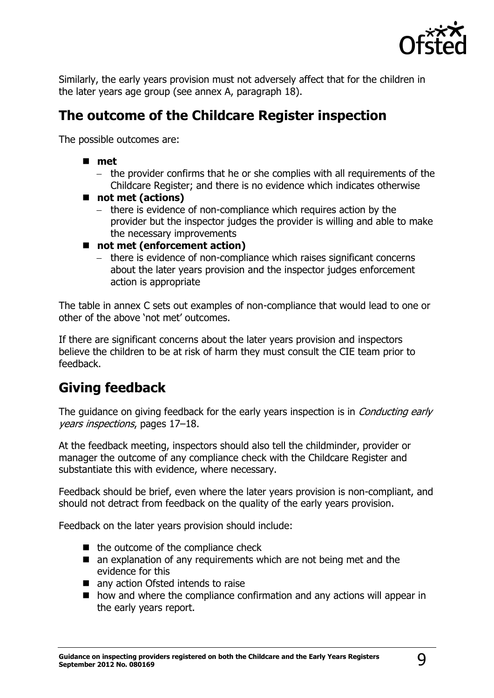

Similarly, the early years provision must not adversely affect that for the children in the later years age group (see annex A, paragraph 18).

### <span id="page-8-0"></span>**The outcome of the Childcare Register inspection**

The possible outcomes are:

- **met**
	- the provider confirms that he or she complies with all requirements of the Childcare Register; and there is no evidence which indicates otherwise
- not met (actions)
	- there is evidence of non-compliance which requires action by the provider but the inspector judges the provider is willing and able to make the necessary improvements
- not met (enforcement action)
	- there is evidence of non-compliance which raises significant concerns about the later years provision and the inspector judges enforcement action is appropriate

The table in annex C sets out examples of non-compliance that would lead to one or other of the above 'not met' outcomes.

If there are significant concerns about the later years provision and inspectors believe the children to be at risk of harm they must consult the CIE team prior to feedback.

### <span id="page-8-1"></span>**Giving feedback**

The quidance on giving feedback for the early years inspection is in *Conducting early* years inspections, pages 17–18.

At the feedback meeting, inspectors should also tell the childminder, provider or manager the outcome of any compliance check with the Childcare Register and substantiate this with evidence, where necessary.

Feedback should be brief, even where the later years provision is non-compliant, and should not detract from feedback on the quality of the early years provision.

Feedback on the later years provision should include:

- $\blacksquare$  the outcome of the compliance check
- an explanation of any requirements which are not being met and the evidence for this
- any action Ofsted intends to raise
- $\blacksquare$  how and where the compliance confirmation and any actions will appear in the early years report.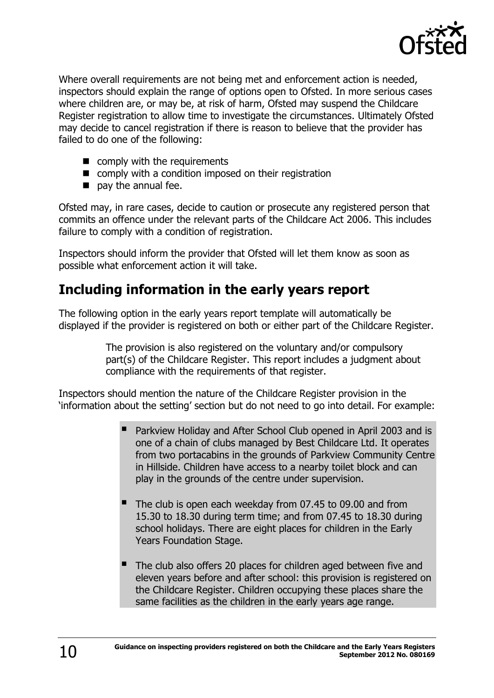

Where overall requirements are not being met and enforcement action is needed, inspectors should explain the range of options open to Ofsted. In more serious cases where children are, or may be, at risk of harm, Ofsted may suspend the Childcare Register registration to allow time to investigate the circumstances. Ultimately Ofsted may decide to cancel registration if there is reason to believe that the provider has failed to do one of the following:

- comply with the requirements
- comply with a condition imposed on their registration
- $\blacksquare$  pay the annual fee.

Ofsted may, in rare cases, decide to caution or prosecute any registered person that commits an offence under the relevant parts of the Childcare Act 2006. This includes failure to comply with a condition of registration.

Inspectors should inform the provider that Ofsted will let them know as soon as possible what enforcement action it will take.

### <span id="page-9-0"></span>**Including information in the early years report**

The following option in the early years report template will automatically be displayed if the provider is registered on both or either part of the Childcare Register.

> The provision is also registered on the voluntary and/or compulsory part(s) of the Childcare Register. This report includes a judgment about compliance with the requirements of that register.

Inspectors should mention the nature of the Childcare Register provision in the 'information about the setting' section but do not need to go into detail. For example:

- Parkview Holiday and After School Club opened in April 2003 and is one of a chain of clubs managed by Best Childcare Ltd. It operates from two portacabins in the grounds of Parkview Community Centre in Hillside. Children have access to a nearby toilet block and can play in the grounds of the centre under supervision.
- The club is open each weekday from 07.45 to 09.00 and from 15.30 to 18.30 during term time; and from 07.45 to 18.30 during school holidays. There are eight places for children in the Early Years Foundation Stage.
- The club also offers 20 places for children aged between five and eleven years before and after school: this provision is registered on the Childcare Register. Children occupying these places share the same facilities as the children in the early years age range.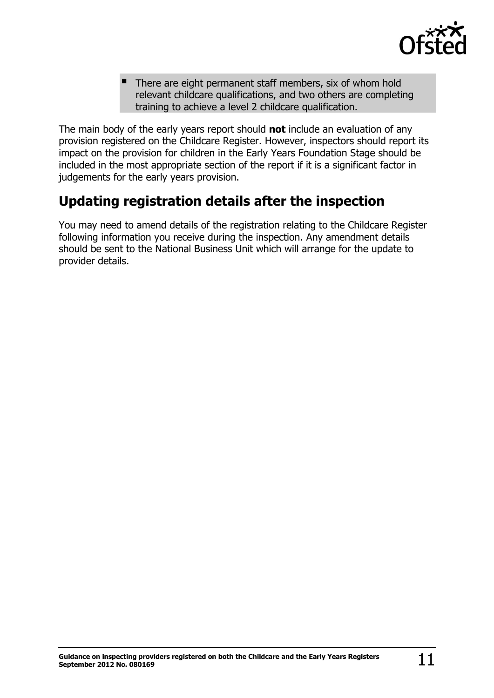

 There are eight permanent staff members, six of whom hold relevant childcare qualifications, and two others are completing training to achieve a level 2 childcare qualification.

The main body of the early years report should **not** include an evaluation of any provision registered on the Childcare Register. However, inspectors should report its impact on the provision for children in the Early Years Foundation Stage should be included in the most appropriate section of the report if it is a significant factor in judgements for the early years provision.

# **Updating registration details after the inspection**

You may need to amend details of the registration relating to the Childcare Register following information you receive during the inspection. Any amendment details should be sent to the National Business Unit which will arrange for the update to provider details.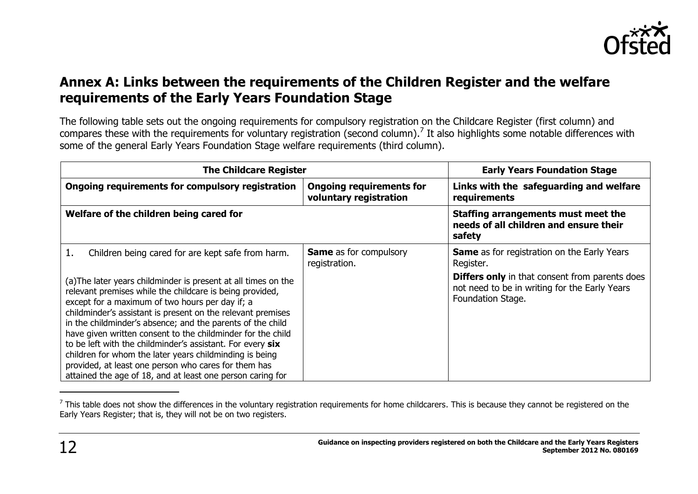

### **Annex A: Links between the requirements of the Children Register and the welfare requirements of the Early Years Foundation Stage**

The following table sets out the ongoing requirements for compulsory registration on the Childcare Register (first column) and compares these with the requirements for voluntary registration (second column).<sup>7</sup> It also highlights some notable differences with some of the general Early Years Foundation Stage welfare requirements (third column).

<span id="page-11-0"></span>

| <b>The Childcare Register</b>                                                                                                                                                                                                                                                                                                                                                                                                                                                                                                                                                                                            |                                                           | <b>Early Years Foundation Stage</b>                                                                                         |
|--------------------------------------------------------------------------------------------------------------------------------------------------------------------------------------------------------------------------------------------------------------------------------------------------------------------------------------------------------------------------------------------------------------------------------------------------------------------------------------------------------------------------------------------------------------------------------------------------------------------------|-----------------------------------------------------------|-----------------------------------------------------------------------------------------------------------------------------|
| Ongoing requirements for compulsory registration                                                                                                                                                                                                                                                                                                                                                                                                                                                                                                                                                                         | <b>Ongoing requirements for</b><br>voluntary registration | Links with the safeguarding and welfare<br>requirements                                                                     |
| Welfare of the children being cared for                                                                                                                                                                                                                                                                                                                                                                                                                                                                                                                                                                                  |                                                           | Staffing arrangements must meet the<br>needs of all children and ensure their<br>safety                                     |
| Children being cared for are kept safe from harm.                                                                                                                                                                                                                                                                                                                                                                                                                                                                                                                                                                        | <b>Same</b> as for compulsory<br>registration.            | <b>Same</b> as for registration on the Early Years<br>Register.                                                             |
| (a) The later years childminder is present at all times on the<br>relevant premises while the childcare is being provided,<br>except for a maximum of two hours per day if; a<br>childminder's assistant is present on the relevant premises<br>in the childminder's absence; and the parents of the child<br>have given written consent to the childminder for the child<br>to be left with the childminder's assistant. For every six<br>children for whom the later years childminding is being<br>provided, at least one person who cares for them has<br>attained the age of 18, and at least one person caring for |                                                           | <b>Differs only</b> in that consent from parents does<br>not need to be in writing for the Early Years<br>Foundation Stage. |

 $^7$  This table does not show the differences in the voluntary registration requirements for home childcarers. This is because they cannot be registered on the Early Years Register; that is, they will not be on two registers.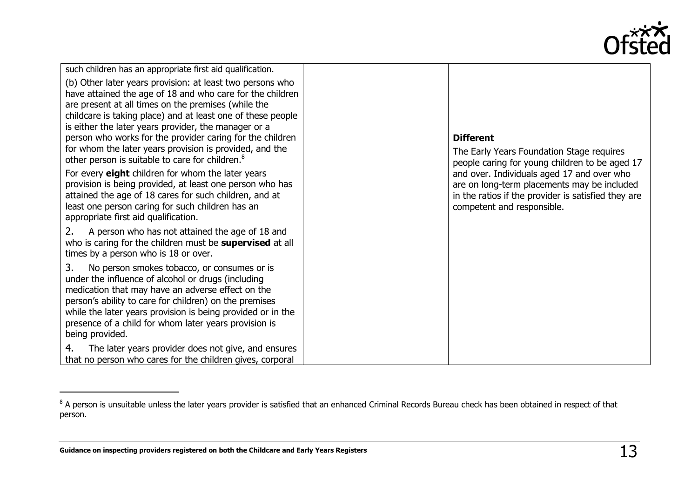

| such children has an appropriate first aid qualification.                                                                                                                                                                                                                                                                                                                                                                                                                                   |                                                                                                                                                                                |
|---------------------------------------------------------------------------------------------------------------------------------------------------------------------------------------------------------------------------------------------------------------------------------------------------------------------------------------------------------------------------------------------------------------------------------------------------------------------------------------------|--------------------------------------------------------------------------------------------------------------------------------------------------------------------------------|
| (b) Other later years provision: at least two persons who<br>have attained the age of 18 and who care for the children<br>are present at all times on the premises (while the<br>childcare is taking place) and at least one of these people<br>is either the later years provider, the manager or a<br>person who works for the provider caring for the children<br>for whom the later years provision is provided, and the<br>other person is suitable to care for children. <sup>8</sup> | <b>Different</b><br>The Early Years Foundation Stage requires<br>people caring for young children to be aged 17                                                                |
| For every eight children for whom the later years<br>provision is being provided, at least one person who has<br>attained the age of 18 cares for such children, and at<br>least one person caring for such children has an<br>appropriate first aid qualification.                                                                                                                                                                                                                         | and over. Individuals aged 17 and over who<br>are on long-term placements may be included<br>in the ratios if the provider is satisfied they are<br>competent and responsible. |
| A person who has not attained the age of 18 and<br>2.<br>who is caring for the children must be <b>supervised</b> at all<br>times by a person who is 18 or over.                                                                                                                                                                                                                                                                                                                            |                                                                                                                                                                                |
| 3.<br>No person smokes tobacco, or consumes or is<br>under the influence of alcohol or drugs (including<br>medication that may have an adverse effect on the<br>person's ability to care for children) on the premises<br>while the later years provision is being provided or in the<br>presence of a child for whom later years provision is<br>being provided.                                                                                                                           |                                                                                                                                                                                |
| The later years provider does not give, and ensures<br>4.<br>that no person who cares for the children gives, corporal                                                                                                                                                                                                                                                                                                                                                                      |                                                                                                                                                                                |

<sup>&</sup>lt;sup>8</sup> A person is unsuitable unless the later years provider is satisfied that an enhanced Criminal Records Bureau check has been obtained in respect of that person.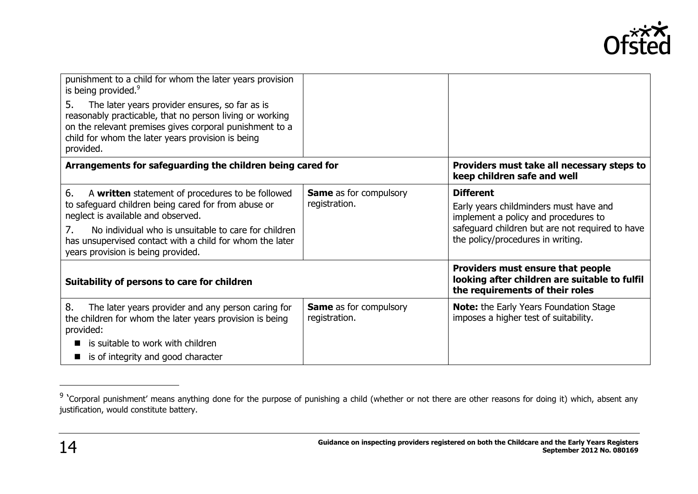

| punishment to a child for whom the later years provision<br>is being provided. <sup>9</sup><br>The later years provider ensures, so far as is<br>5.                                   |                                                |                                                                                                                       |
|---------------------------------------------------------------------------------------------------------------------------------------------------------------------------------------|------------------------------------------------|-----------------------------------------------------------------------------------------------------------------------|
| reasonably practicable, that no person living or working<br>on the relevant premises gives corporal punishment to a<br>child for whom the later years provision is being<br>provided. |                                                |                                                                                                                       |
| Arrangements for safeguarding the children being cared for                                                                                                                            |                                                | Providers must take all necessary steps to<br>keep children safe and well                                             |
| 6.<br>A written statement of procedures to be followed                                                                                                                                | <b>Same</b> as for compulsory                  | <b>Different</b>                                                                                                      |
| to safeguard children being cared for from abuse or<br>neglect is available and observed.                                                                                             | registration.                                  | Early years childminders must have and<br>implement a policy and procedures to                                        |
| No individual who is unsuitable to care for children<br>7.<br>has unsupervised contact with a child for whom the later<br>years provision is being provided.                          |                                                | safeguard children but are not required to have<br>the policy/procedures in writing.                                  |
| Suitability of persons to care for children                                                                                                                                           |                                                | Providers must ensure that people<br>looking after children are suitable to fulfil<br>the requirements of their roles |
| 8.<br>The later years provider and any person caring for<br>the children for whom the later years provision is being<br>provided:                                                     | <b>Same</b> as for compulsory<br>registration. | <b>Note:</b> the Early Years Foundation Stage<br>imposes a higher test of suitability.                                |
| is suitable to work with children                                                                                                                                                     |                                                |                                                                                                                       |
| is of integrity and good character                                                                                                                                                    |                                                |                                                                                                                       |

-

<sup>&</sup>lt;sup>9</sup> 'Corporal punishment' means anything done for the purpose of punishing a child (whether or not there are other reasons for doing it) which, absent any justification, would constitute battery.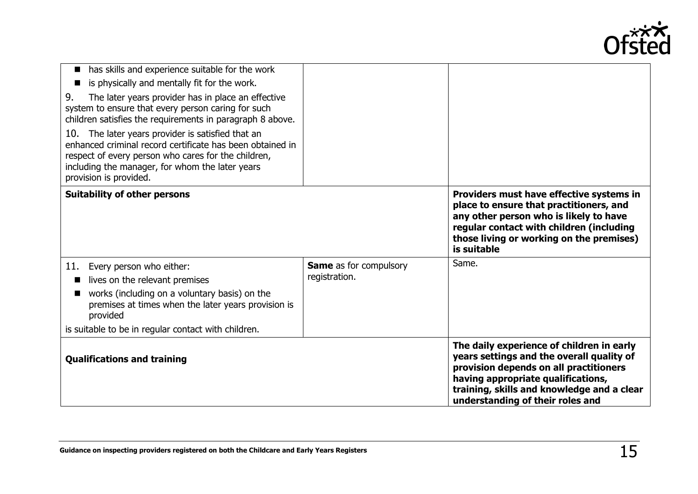

| has skills and experience suitable for the work<br>is physically and mentally fit for the work.<br>The later years provider has in place an effective<br>9.<br>system to ensure that every person caring for such<br>children satisfies the requirements in paragraph 8 above.<br>10. The later years provider is satisfied that an<br>enhanced criminal record certificate has been obtained in<br>respect of every person who cares for the children,<br>including the manager, for whom the later years<br>provision is provided. |                                                |                                                                                                                                                                                                                                                          |
|--------------------------------------------------------------------------------------------------------------------------------------------------------------------------------------------------------------------------------------------------------------------------------------------------------------------------------------------------------------------------------------------------------------------------------------------------------------------------------------------------------------------------------------|------------------------------------------------|----------------------------------------------------------------------------------------------------------------------------------------------------------------------------------------------------------------------------------------------------------|
| <b>Suitability of other persons</b>                                                                                                                                                                                                                                                                                                                                                                                                                                                                                                  |                                                | Providers must have effective systems in<br>place to ensure that practitioners, and<br>any other person who is likely to have<br>regular contact with children (including<br>those living or working on the premises)<br>is suitable                     |
| Every person who either:<br>11.<br>lives on the relevant premises<br>works (including on a voluntary basis) on the<br>premises at times when the later years provision is<br>provided<br>is suitable to be in regular contact with children.                                                                                                                                                                                                                                                                                         | <b>Same</b> as for compulsory<br>registration. | Same.                                                                                                                                                                                                                                                    |
| <b>Qualifications and training</b>                                                                                                                                                                                                                                                                                                                                                                                                                                                                                                   |                                                | The daily experience of children in early<br>years settings and the overall quality of<br>provision depends on all practitioners<br>having appropriate qualifications,<br>training, skills and knowledge and a clear<br>understanding of their roles and |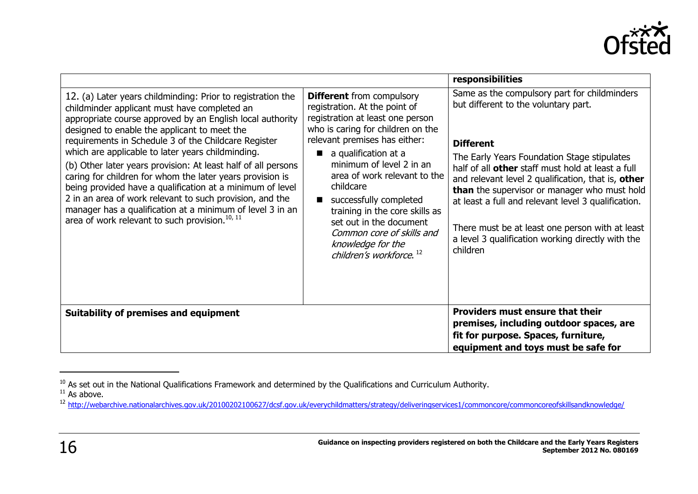

|                                                                                                                                                                                                                                                                                                                                                                                                                                                                                                                                                                                                                                                                                                                         |                                                                                                                                                                                                                                                                                                                                                                                                                                                              | responsibilities                                                                                                                                                                                                                                                                                                                                                                                                                                                                              |
|-------------------------------------------------------------------------------------------------------------------------------------------------------------------------------------------------------------------------------------------------------------------------------------------------------------------------------------------------------------------------------------------------------------------------------------------------------------------------------------------------------------------------------------------------------------------------------------------------------------------------------------------------------------------------------------------------------------------------|--------------------------------------------------------------------------------------------------------------------------------------------------------------------------------------------------------------------------------------------------------------------------------------------------------------------------------------------------------------------------------------------------------------------------------------------------------------|-----------------------------------------------------------------------------------------------------------------------------------------------------------------------------------------------------------------------------------------------------------------------------------------------------------------------------------------------------------------------------------------------------------------------------------------------------------------------------------------------|
| 12. (a) Later years childminding: Prior to registration the<br>childminder applicant must have completed an<br>appropriate course approved by an English local authority<br>designed to enable the applicant to meet the<br>requirements in Schedule 3 of the Childcare Register<br>which are applicable to later years childminding.<br>(b) Other later years provision: At least half of all persons<br>caring for children for whom the later years provision is<br>being provided have a qualification at a minimum of level<br>2 in an area of work relevant to such provision, and the<br>manager has a qualification at a minimum of level 3 in an<br>area of work relevant to such provision. <sup>10, 11</sup> | <b>Different</b> from compulsory<br>registration. At the point of<br>registration at least one person<br>who is caring for children on the<br>relevant premises has either:<br>a qualification at a<br>minimum of level 2 in an<br>area of work relevant to the<br>childcare<br>successfully completed<br>training in the core skills as<br>set out in the document<br>Common core of skills and<br>knowledge for the<br>children's workforce. <sup>12</sup> | Same as the compulsory part for childminders<br>but different to the voluntary part.<br><b>Different</b><br>The Early Years Foundation Stage stipulates<br>half of all other staff must hold at least a full<br>and relevant level 2 qualification, that is, other<br>than the supervisor or manager who must hold<br>at least a full and relevant level 3 qualification.<br>There must be at least one person with at least<br>a level 3 qualification working directly with the<br>children |
| <b>Suitability of premises and equipment</b>                                                                                                                                                                                                                                                                                                                                                                                                                                                                                                                                                                                                                                                                            |                                                                                                                                                                                                                                                                                                                                                                                                                                                              | <b>Providers must ensure that their</b><br>premises, including outdoor spaces, are<br>fit for purpose. Spaces, furniture,<br>equipment and toys must be safe for                                                                                                                                                                                                                                                                                                                              |

-

 $^{10}$  As set out in the National Qualifications Framework and determined by the Qualifications and Curriculum Authority.

 $11$  As above.

<sup>12</sup> <http://webarchive.nationalarchives.gov.uk/20100202100627/dcsf.gov.uk/everychildmatters/strategy/deliveringservices1/commoncore/commoncoreofskillsandknowledge/>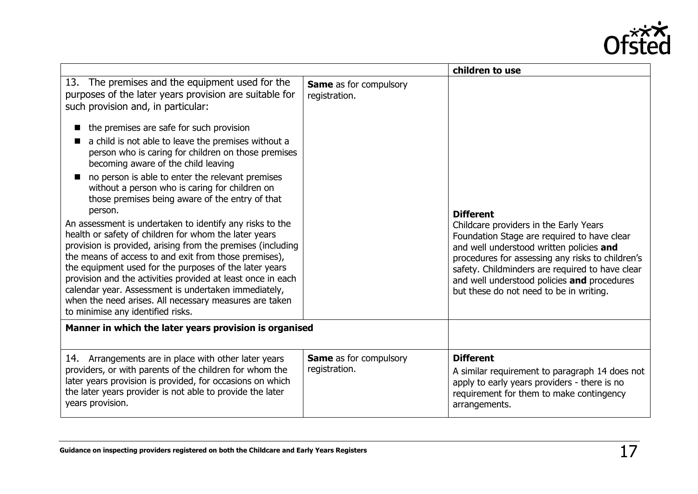

|                                                                                                                                                                                                                                                                                                                                                                                                                                                                                                                                                                                                                                                                                                                                                                                                                                                                                                                                                    |                                                | children to use                                                                                                                                                                                                                                                                                                                                        |
|----------------------------------------------------------------------------------------------------------------------------------------------------------------------------------------------------------------------------------------------------------------------------------------------------------------------------------------------------------------------------------------------------------------------------------------------------------------------------------------------------------------------------------------------------------------------------------------------------------------------------------------------------------------------------------------------------------------------------------------------------------------------------------------------------------------------------------------------------------------------------------------------------------------------------------------------------|------------------------------------------------|--------------------------------------------------------------------------------------------------------------------------------------------------------------------------------------------------------------------------------------------------------------------------------------------------------------------------------------------------------|
| 13. The premises and the equipment used for the<br>purposes of the later years provision are suitable for<br>such provision and, in particular:<br>the premises are safe for such provision<br>a child is not able to leave the premises without a<br>person who is caring for children on those premises<br>becoming aware of the child leaving<br>no person is able to enter the relevant premises<br>without a person who is caring for children on<br>those premises being aware of the entry of that<br>person.<br>An assessment is undertaken to identify any risks to the<br>health or safety of children for whom the later years<br>provision is provided, arising from the premises (including<br>the means of access to and exit from those premises),<br>the equipment used for the purposes of the later years<br>provision and the activities provided at least once in each<br>calendar year. Assessment is undertaken immediately, | <b>Same</b> as for compulsory<br>registration. | <b>Different</b><br>Childcare providers in the Early Years<br>Foundation Stage are required to have clear<br>and well understood written policies and<br>procedures for assessing any risks to children's<br>safety. Childminders are required to have clear<br>and well understood policies and procedures<br>but these do not need to be in writing. |
| when the need arises. All necessary measures are taken<br>to minimise any identified risks.                                                                                                                                                                                                                                                                                                                                                                                                                                                                                                                                                                                                                                                                                                                                                                                                                                                        |                                                |                                                                                                                                                                                                                                                                                                                                                        |
| Manner in which the later years provision is organised                                                                                                                                                                                                                                                                                                                                                                                                                                                                                                                                                                                                                                                                                                                                                                                                                                                                                             |                                                |                                                                                                                                                                                                                                                                                                                                                        |
| 14. Arrangements are in place with other later years<br>providers, or with parents of the children for whom the<br>later years provision is provided, for occasions on which<br>the later years provider is not able to provide the later<br>years provision.                                                                                                                                                                                                                                                                                                                                                                                                                                                                                                                                                                                                                                                                                      | Same as for compulsory<br>registration.        | <b>Different</b><br>A similar requirement to paragraph 14 does not<br>apply to early years providers - there is no<br>requirement for them to make contingency<br>arrangements.                                                                                                                                                                        |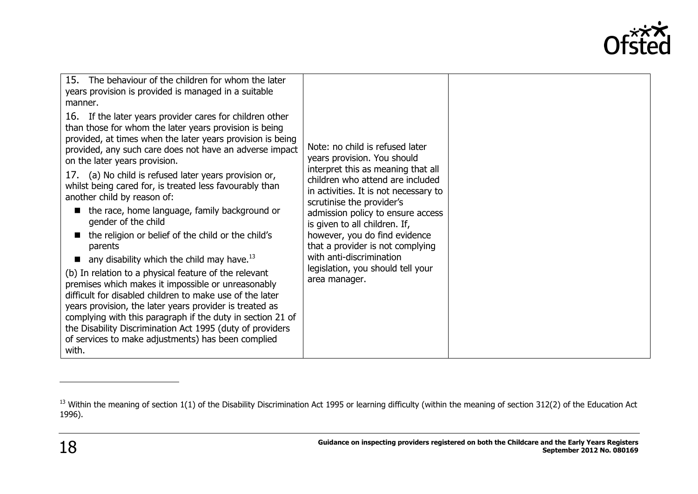

| 15. The behaviour of the children for whom the later<br>years provision is provided is managed in a suitable<br>manner.<br>16. If the later years provider cares for children other<br>than those for whom the later years provision is being<br>provided, at times when the later years provision is being<br>provided, any such care does not have an adverse impact<br>on the later years provision.<br>17. (a) No child is refused later years provision or,<br>whilst being cared for, is treated less favourably than<br>another child by reason of:<br>the race, home language, family background or<br>gender of the child<br>the religion or belief of the child or the child's<br>parents<br>any disability which the child may have. $^{13}$<br>(b) In relation to a physical feature of the relevant<br>premises which makes it impossible or unreasonably<br>difficult for disabled children to make use of the later<br>years provision, the later years provider is treated as<br>complying with this paragraph if the duty in section 21 of | Note: no child is refused later<br>years provision. You should<br>interpret this as meaning that all<br>children who attend are included<br>in activities. It is not necessary to<br>scrutinise the provider's<br>admission policy to ensure access<br>is given to all children. If,<br>however, you do find evidence<br>that a provider is not complying<br>with anti-discrimination<br>legislation, you should tell your<br>area manager. |  |
|-------------------------------------------------------------------------------------------------------------------------------------------------------------------------------------------------------------------------------------------------------------------------------------------------------------------------------------------------------------------------------------------------------------------------------------------------------------------------------------------------------------------------------------------------------------------------------------------------------------------------------------------------------------------------------------------------------------------------------------------------------------------------------------------------------------------------------------------------------------------------------------------------------------------------------------------------------------------------------------------------------------------------------------------------------------|---------------------------------------------------------------------------------------------------------------------------------------------------------------------------------------------------------------------------------------------------------------------------------------------------------------------------------------------------------------------------------------------------------------------------------------------|--|
| the Disability Discrimination Act 1995 (duty of providers<br>of services to make adjustments) has been complied<br>with.                                                                                                                                                                                                                                                                                                                                                                                                                                                                                                                                                                                                                                                                                                                                                                                                                                                                                                                                    |                                                                                                                                                                                                                                                                                                                                                                                                                                             |  |

 $13$  Within the meaning of section 1(1) of the Disability Discrimination Act 1995 or learning difficulty (within the meaning of section 312(2) of the Education Act 1996).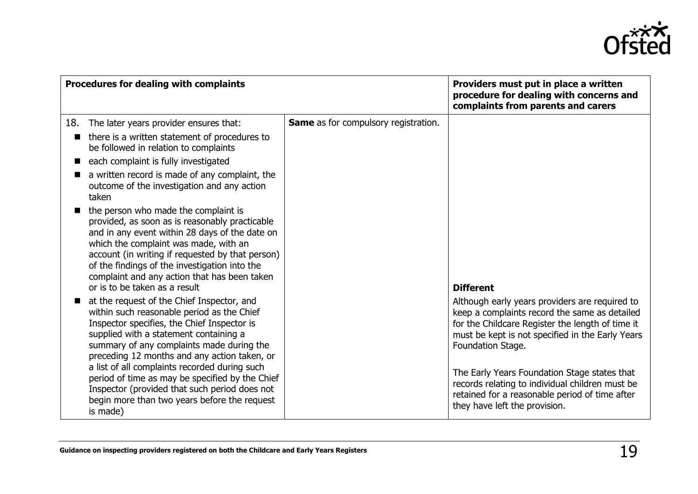

| Procedures for dealing with complaints |                                                                                                                                                                                                                                                                                                                                                                                                                                                                                                 | Providers must put in place a written<br>procedure for dealing with concerns and<br>complaints from parents and carers |                                                                                                                                                                                                                                                                                                                                                                                                                    |
|----------------------------------------|-------------------------------------------------------------------------------------------------------------------------------------------------------------------------------------------------------------------------------------------------------------------------------------------------------------------------------------------------------------------------------------------------------------------------------------------------------------------------------------------------|------------------------------------------------------------------------------------------------------------------------|--------------------------------------------------------------------------------------------------------------------------------------------------------------------------------------------------------------------------------------------------------------------------------------------------------------------------------------------------------------------------------------------------------------------|
| 18.                                    | The later years provider ensures that:<br>there is a written statement of procedures to<br>be followed in relation to complaints<br>each complaint is fully investigated<br>a written record is made of any complaint, the<br>outcome of the investigation and any action<br>taken<br>the person who made the complaint is<br>provided, as soon as is reasonably practicable<br>and in any event within 28 days of the date on                                                                  | <b>Same</b> as for compulsory registration.                                                                            |                                                                                                                                                                                                                                                                                                                                                                                                                    |
|                                        | which the complaint was made, with an<br>account (in writing if requested by that person)<br>of the findings of the investigation into the<br>complaint and any action that has been taken<br>or is to be taken as a result                                                                                                                                                                                                                                                                     |                                                                                                                        | <b>Different</b>                                                                                                                                                                                                                                                                                                                                                                                                   |
|                                        | at the request of the Chief Inspector, and<br>within such reasonable period as the Chief<br>Inspector specifies, the Chief Inspector is<br>supplied with a statement containing a<br>summary of any complaints made during the<br>preceding 12 months and any action taken, or<br>a list of all complaints recorded during such<br>period of time as may be specified by the Chief<br>Inspector (provided that such period does not<br>begin more than two years before the request<br>is made) |                                                                                                                        | Although early years providers are required to<br>keep a complaints record the same as detailed<br>for the Childcare Register the length of time it<br>must be kept is not specified in the Early Years<br>Foundation Stage.<br>The Early Years Foundation Stage states that<br>records relating to individual children must be<br>retained for a reasonable period of time after<br>they have left the provision. |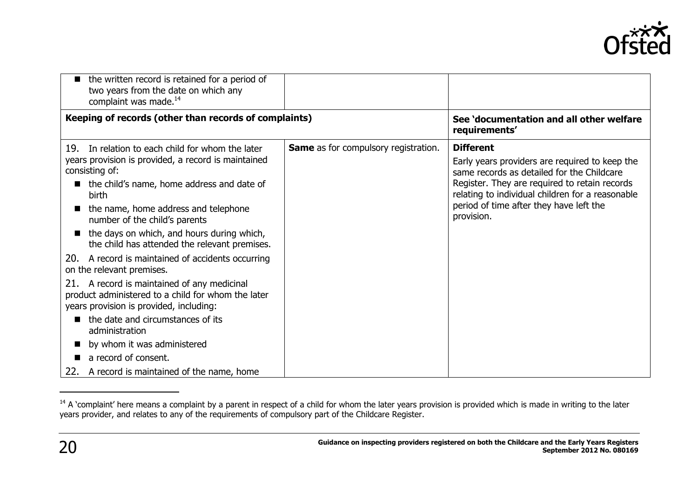

| the written record is retained for a period of<br>two years from the date on which any<br>complaint was made. <sup>14</sup>                                                                                                                                                                                                                                                                                                                                                                                                                                                                                                                                                                                                                                     |                                             |                                                                                                                                                                                                                                                                                |
|-----------------------------------------------------------------------------------------------------------------------------------------------------------------------------------------------------------------------------------------------------------------------------------------------------------------------------------------------------------------------------------------------------------------------------------------------------------------------------------------------------------------------------------------------------------------------------------------------------------------------------------------------------------------------------------------------------------------------------------------------------------------|---------------------------------------------|--------------------------------------------------------------------------------------------------------------------------------------------------------------------------------------------------------------------------------------------------------------------------------|
| Keeping of records (other than records of complaints)                                                                                                                                                                                                                                                                                                                                                                                                                                                                                                                                                                                                                                                                                                           |                                             | See 'documentation and all other welfare<br>requirements'                                                                                                                                                                                                                      |
| 19. In relation to each child for whom the later<br>years provision is provided, a record is maintained<br>consisting of:<br>the child's name, home address and date of<br><b>birth</b><br>the name, home address and telephone<br>number of the child's parents<br>the days on which, and hours during which,<br>the child has attended the relevant premises.<br>20. A record is maintained of accidents occurring<br>on the relevant premises.<br>21. A record is maintained of any medicinal<br>product administered to a child for whom the later<br>years provision is provided, including:<br>the date and circumstances of its<br>administration<br>by whom it was administered<br>a record of consent.<br>22. A record is maintained of the name, home | <b>Same</b> as for compulsory registration. | <b>Different</b><br>Early years providers are required to keep the<br>same records as detailed for the Childcare<br>Register. They are required to retain records<br>relating to individual children for a reasonable<br>period of time after they have left the<br>provision. |

<sup>&</sup>lt;sup>14</sup> A 'complaint' here means a complaint by a parent in respect of a child for whom the later years provision is provided which is made in writing to the later years provider, and relates to any of the requirements of compulsory part of the Childcare Register.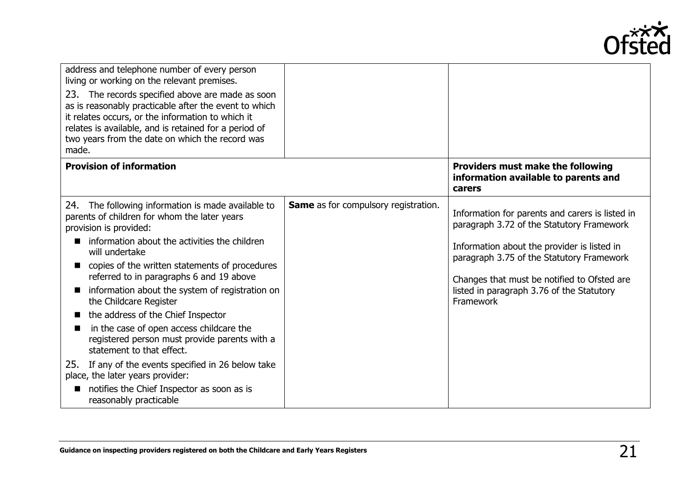

| address and telephone number of every person<br>living or working on the relevant premises.<br>The records specified above are made as soon<br>23.<br>as is reasonably practicable after the event to which<br>it relates occurs, or the information to which it<br>relates is available, and is retained for a period of<br>two years from the date on which the record was<br>made.                                                                                                                                                                                                                                                                                                                            |                                             |                                                                                                                                                                                                                                                                                                   |
|------------------------------------------------------------------------------------------------------------------------------------------------------------------------------------------------------------------------------------------------------------------------------------------------------------------------------------------------------------------------------------------------------------------------------------------------------------------------------------------------------------------------------------------------------------------------------------------------------------------------------------------------------------------------------------------------------------------|---------------------------------------------|---------------------------------------------------------------------------------------------------------------------------------------------------------------------------------------------------------------------------------------------------------------------------------------------------|
| <b>Provision of information</b>                                                                                                                                                                                                                                                                                                                                                                                                                                                                                                                                                                                                                                                                                  |                                             | Providers must make the following<br>information available to parents and<br>carers                                                                                                                                                                                                               |
| 24. The following information is made available to<br>parents of children for whom the later years<br>provision is provided:<br>information about the activities the children<br>will undertake<br>copies of the written statements of procedures<br>referred to in paragraphs 6 and 19 above<br>information about the system of registration on<br>the Childcare Register<br>the address of the Chief Inspector<br>in the case of open access childcare the<br>registered person must provide parents with a<br>statement to that effect.<br>If any of the events specified in 26 below take<br>25.<br>place, the later years provider:<br>notifies the Chief Inspector as soon as is<br>reasonably practicable | <b>Same</b> as for compulsory registration. | Information for parents and carers is listed in<br>paragraph 3.72 of the Statutory Framework<br>Information about the provider is listed in<br>paragraph 3.75 of the Statutory Framework<br>Changes that must be notified to Ofsted are<br>listed in paragraph 3.76 of the Statutory<br>Framework |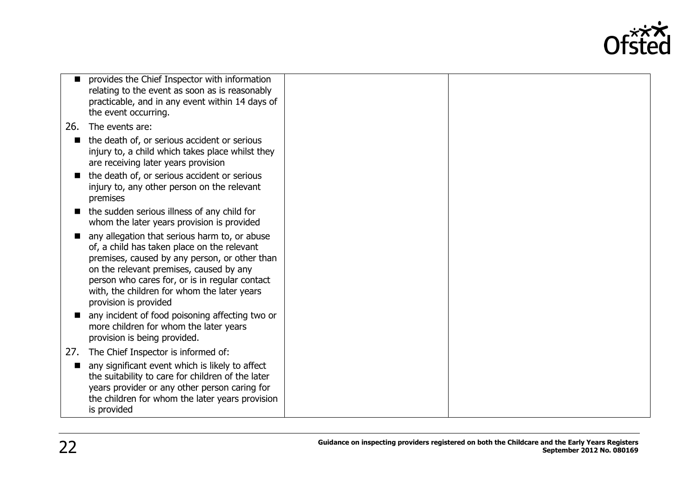

|     | provides the Chief Inspector with information<br>relating to the event as soon as is reasonably<br>practicable, and in any event within 14 days of<br>the event occurring.                                                                                                                                         |  |
|-----|--------------------------------------------------------------------------------------------------------------------------------------------------------------------------------------------------------------------------------------------------------------------------------------------------------------------|--|
| 26. | The events are:                                                                                                                                                                                                                                                                                                    |  |
|     | the death of, or serious accident or serious<br>injury to, a child which takes place whilst they<br>are receiving later years provision                                                                                                                                                                            |  |
|     | the death of, or serious accident or serious<br>injury to, any other person on the relevant<br>premises                                                                                                                                                                                                            |  |
|     | the sudden serious illness of any child for<br>whom the later years provision is provided                                                                                                                                                                                                                          |  |
|     | any allegation that serious harm to, or abuse<br>of, a child has taken place on the relevant<br>premises, caused by any person, or other than<br>on the relevant premises, caused by any<br>person who cares for, or is in regular contact<br>with, the children for whom the later years<br>provision is provided |  |
|     | any incident of food poisoning affecting two or<br>more children for whom the later years<br>provision is being provided.                                                                                                                                                                                          |  |
| 27. | The Chief Inspector is informed of:                                                                                                                                                                                                                                                                                |  |
|     | any significant event which is likely to affect<br>the suitability to care for children of the later<br>years provider or any other person caring for<br>the children for whom the later years provision<br>is provided                                                                                            |  |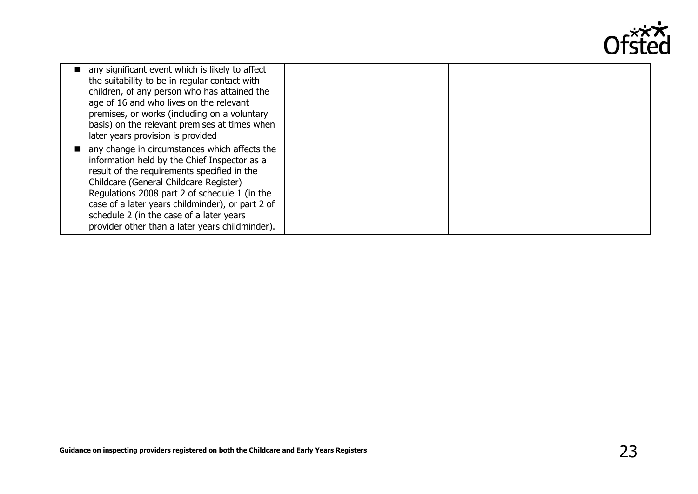

| any significant event which is likely to affect<br>the suitability to be in regular contact with<br>children, of any person who has attained the<br>age of 16 and who lives on the relevant<br>premises, or works (including on a voluntary<br>basis) on the relevant premises at times when<br>later years provision is provided                                                          |  |
|--------------------------------------------------------------------------------------------------------------------------------------------------------------------------------------------------------------------------------------------------------------------------------------------------------------------------------------------------------------------------------------------|--|
| any change in circumstances which affects the<br>information held by the Chief Inspector as a<br>result of the requirements specified in the<br>Childcare (General Childcare Register)<br>Regulations 2008 part 2 of schedule 1 (in the<br>case of a later years childminder), or part 2 of<br>schedule 2 (in the case of a later years<br>provider other than a later years childminder). |  |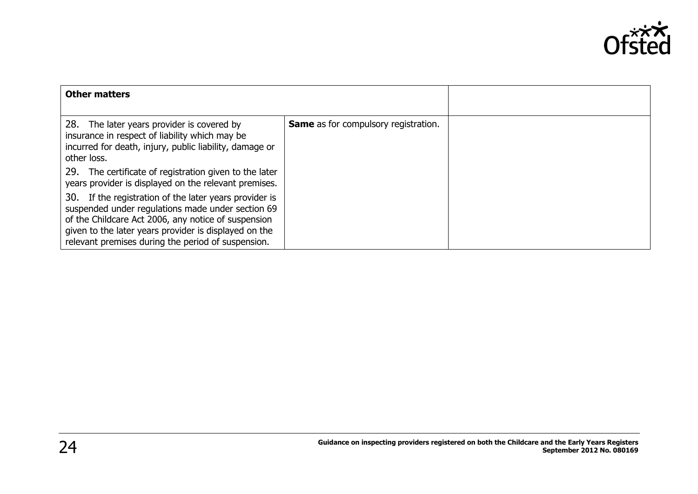

| <b>Other matters</b>                                                                                                                                                                                                                                                              |                                             |  |
|-----------------------------------------------------------------------------------------------------------------------------------------------------------------------------------------------------------------------------------------------------------------------------------|---------------------------------------------|--|
| 28. The later years provider is covered by<br>insurance in respect of liability which may be<br>incurred for death, injury, public liability, damage or<br>other loss.                                                                                                            | <b>Same</b> as for compulsory registration. |  |
| 29.<br>The certificate of registration given to the later<br>years provider is displayed on the relevant premises.                                                                                                                                                                |                                             |  |
| 30. If the registration of the later years provider is<br>suspended under regulations made under section 69<br>of the Childcare Act 2006, any notice of suspension<br>given to the later years provider is displayed on the<br>relevant premises during the period of suspension. |                                             |  |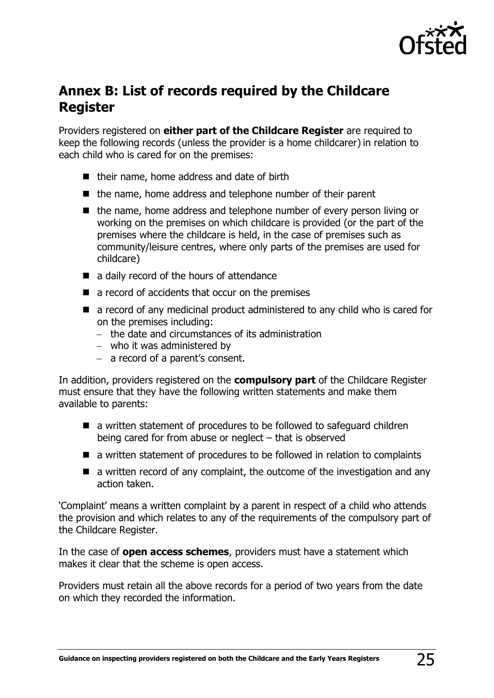

### <span id="page-24-0"></span>**Annex B: List of records required by the Childcare Register**

Providers registered on **either part of the Childcare Register** are required to keep the following records (unless the provider is a home childcarer) in relation to each child who is cared for on the premises:

- $\blacksquare$  their name, home address and date of birth
- the name, home address and telephone number of their parent
- $\blacksquare$  the name, home address and telephone number of every person living or working on the premises on which childcare is provided (or the part of the premises where the childcare is held, in the case of premises such as community/leisure centres, where only parts of the premises are used for childcare)
- a daily record of the hours of attendance
- $\blacksquare$  a record of accidents that occur on the premises
- a record of any medicinal product administered to any child who is cared for on the premises including:
	- $-$  the date and circumstances of its administration
	- who it was administered by
	- a record of a parent's consent.

In addition, providers registered on the **compulsory part** of the Childcare Register must ensure that they have the following written statements and make them available to parents:

- a written statement of procedures to be followed to safeguard children being cared for from abuse or neglect – that is observed
- a written statement of procedures to be followed in relation to complaints
- $\blacksquare$  a written record of any complaint, the outcome of the investigation and any action taken.

'Complaint' means a written complaint by a parent in respect of a child who attends the provision and which relates to any of the requirements of the compulsory part of the Childcare Register.

In the case of **open access schemes**, providers must have a statement which makes it clear that the scheme is open access.

Providers must retain all the above records for a period of two years from the date on which they recorded the information.